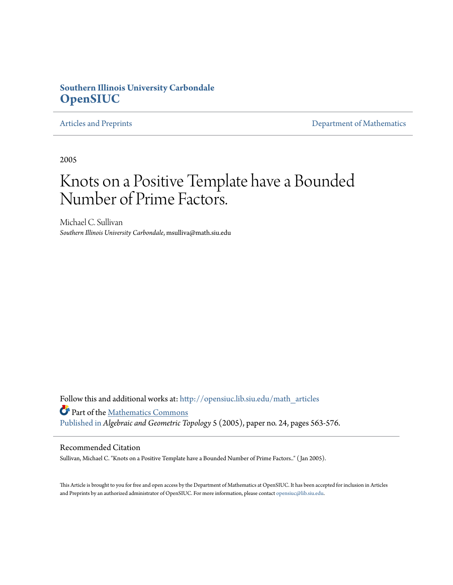## **Southern Illinois University Carbondale [OpenSIUC](http://opensiuc.lib.siu.edu?utm_source=opensiuc.lib.siu.edu%2Fmath_articles%2F82&utm_medium=PDF&utm_campaign=PDFCoverPages)**

[Articles and Preprints](http://opensiuc.lib.siu.edu/math_articles?utm_source=opensiuc.lib.siu.edu%2Fmath_articles%2F82&utm_medium=PDF&utm_campaign=PDFCoverPages) **[Department of Mathematics](http://opensiuc.lib.siu.edu/math?utm_source=opensiuc.lib.siu.edu%2Fmath_articles%2F82&utm_medium=PDF&utm_campaign=PDFCoverPages)** 

2005

# Knots on a Positive Template have a Bounded Number of Prime Factors.

Michael C. Sullivan *Southern Illinois University Carbondale*, msulliva@math.siu.edu

Follow this and additional works at: [http://opensiuc.lib.siu.edu/math\\_articles](http://opensiuc.lib.siu.edu/math_articles?utm_source=opensiuc.lib.siu.edu%2Fmath_articles%2F82&utm_medium=PDF&utm_campaign=PDFCoverPages) Part of the [Mathematics Commons](http://network.bepress.com/hgg/discipline/174?utm_source=opensiuc.lib.siu.edu%2Fmath_articles%2F82&utm_medium=PDF&utm_campaign=PDFCoverPages) [Published in](http://dx.doi.org/10.2140/agt.2005.5.563) *Algebraic and Geometric Topology* 5 (2005), paper no. 24, pages 563-576.

## Recommended Citation

Sullivan, Michael C. "Knots on a Positive Template have a Bounded Number of Prime Factors.." ( Jan 2005).

This Article is brought to you for free and open access by the Department of Mathematics at OpenSIUC. It has been accepted for inclusion in Articles and Preprints by an authorized administrator of OpenSIUC. For more information, please contact [opensiuc@lib.siu.edu](mailto:opensiuc@lib.siu.edu).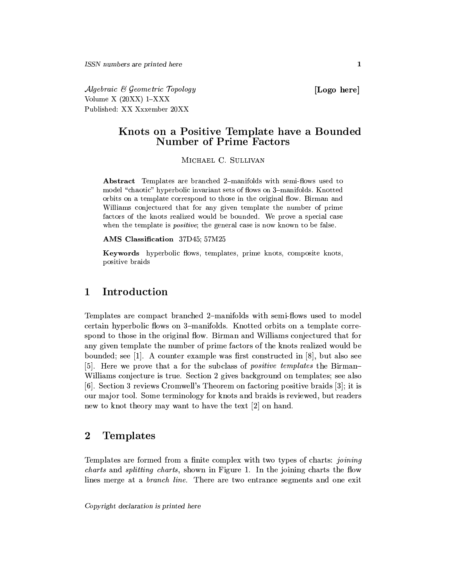Algebraic & Geometric Topology Volume  $X(20XX)$  1-XXX Published: XX Xxxember 20XX

[Logo here]

## Knots on a Positive Template have a Bounded **Number of Prime Factors**

MICHAEL C. SILLIVAN

**Abstract** Templates are branched 2-manifolds with semi-flows used to model "chaotic" hyperbolic invariant sets of flows on 3-manifolds. Knotted orbits on a template correspond to those in the original flow. Birman and Williams conjectured that for any given template the number of prime factors of the knots realized would be bounded. We prove a special case when the template is *positive*; the general case is now known to be false.

AMS Classification 37D45; 57M25

Keywords hyperbolic flows, templates, prime knots, composite knots, positive braids

#### $\mathbf{1}$ Introduction

Templates are compact branched 2-manifolds with semi-flows used to model certain hyperbolic flows on 3-manifolds. Knotted orbits on a template correspond to those in the original flow. Birman and Williams conjectured that for any given template the number of prime factors of the knots realized would be bounded; see [1]. A counter example was first constructed in [8], but also see [5]. Here we prove that a for the subclass of *positive templates* the Birman-Williams conjecture is true. Section 2 gives background on templates; see also [6]. Section 3 reviews Cromwell's Theorem on factoring positive braids  $[3]$ ; it is our major tool. Some terminology for knots and braids is reviewed, but readers new to knot theory may want to have the text [2] on hand.

#### $\overline{2}$ **Templates**

Templates are formed from a finite complex with two types of charts: joining *charts* and *splitting charts*, shown in Figure 1. In the joining charts the flow lines merge at a *branch line*. There are two entrance segments and one exit

Copyright declaration is printed here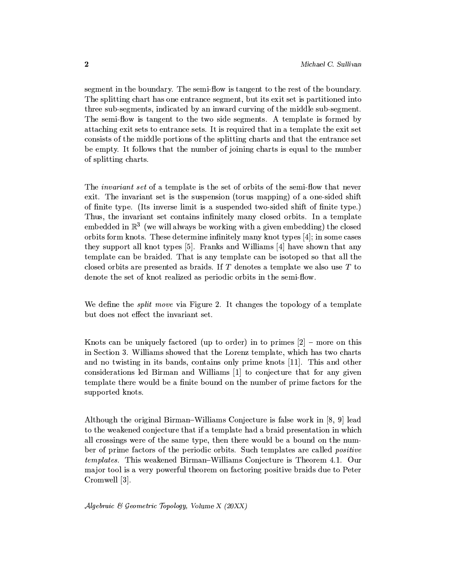segment in the boundary. The semi-flow is tangent to the rest of the boundary. The splitting chart has one entrance segment, but its exit set is partitioned into three sub-segments, indicated by an inward curving of the middle sub-segment. The semi-flow is tangent to the two side segments. A template is formed by attaching exit sets to entrance sets. It is required that in a template the exit set consists of the middle portions of the splitting charts and that the entrance set be empty. It follows that the number of joining charts is equal to the number of splitting charts.

The *invariant set* of a template is the set of orbits of the semi-flow that never exit. The invariant set is the suspension (torus mapping) of a one-sided shift of finite type. (Its inverse limit is a suspended two-sided shift of finite type.) Thus, the invariant set contains infinitely many closed orbits. In a template embedded in  $\mathbb{R}^3$  (we will always be working with a given embedding) the closed orbits form knots. These determine infinitely many knot types  $[4]$ ; in some cases they support all knot types [5]. Franks and Williams [4] have shown that any template can be braided. That is any template can be isotoped so that all the closed orbits are presented as braids. If  $T$  denotes a template we also use  $T$  to denote the set of knot realized as periodic orbits in the semi-flow.

We define the *split move* via Figure 2. It changes the topology of a template but does not effect the invariant set.

Knots can be uniquely factored (up to order) in to primes  $[2]$  – more on this in Section 3. Williams showed that the Lorenz template, which has two charts and no twisting in its bands, contains only prime knots [11]. This and other considerations led Birman and Williams [1] to conjecture that for any given template there would be a finite bound on the number of prime factors for the supported knots.

Although the original Birman-Williams Conjecture is false work in [8, 9] lead to the weakened conjecture that if a template had a braid presentation in which all crossings were of the same type, then there would be a bound on the number of prime factors of the periodic orbits. Such templates are called *positive templates.* This weakened Birman–Williams Conjecture is Theorem 4.1. Our major tool is a very powerful theorem on factoring positive braids due to Peter Cromwell [3].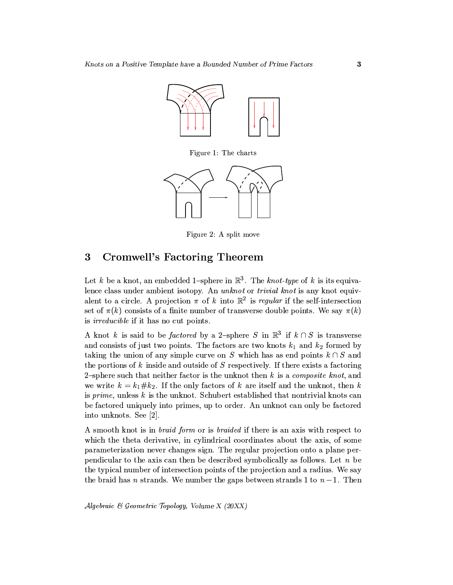

Figure 1: The charts



Figure 2: A split move

### 3 Cromwell's Factoring Theorem

Let k be a knot, an embedded 1-sphere in  $\mathbb{R}^3$ . The knot-type of k is its equivalence class under ambient isotopy. An unknot or trivial knot is any knot equivalent to a circle. A projection  $\pi$  of k into  $\mathbb{R}^2$  is regular if the self-intersection set of  $\pi(k)$  consists of a finite number of transverse double points. We say  $\pi(k)$ is *irreducible* if it has no cut points.

A knot k is said to be *factored* by a 2-sphere S in  $\mathbb{R}^3$  if  $k \cap S$  is transverse and consists of just two points. The factors are two knots  $k_1$  and  $k_2$  formed by taking the union of any simple curve on S which has as end points  $k \cap S$  and the portions of  $k$  inside and outside of  $S$  respectively. If there exists a factoring 2-sphere such that neither factor is the unknot then  $k$  is a *composite knot*, and we write  $k = k_1 \# k_2$ . If the only factors of k are itself and the unknot, then k is prime, unless  $k$  is the unknot. Schubert established that nontrivial knots can be factored uniquely into primes, up to order. An unknot can only be factored into unknots. See [2].

A smooth knot is in *braid form* or is *braided* if there is an axis with respect to which the theta derivative, in cylindrical coordinates about the axis, of some parameterization never changes sign. The regular projection onto a plane perpendicular to the axis can then be described symbolically as follows. Let  $n$  be the typical number of intersection points of the projection and a radius. We say the braid has *n* strands. We number the gaps between strands 1 to  $n-1$ . Then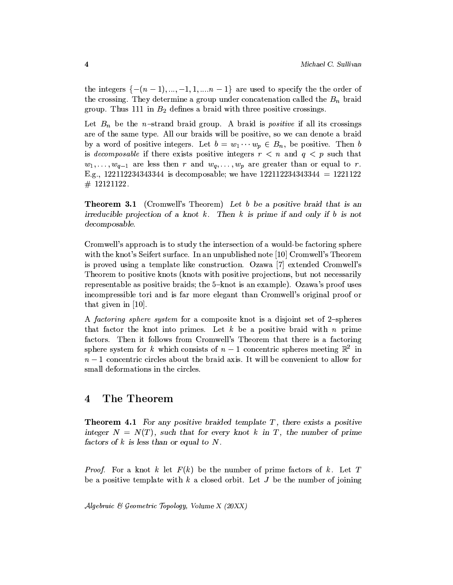the integers  $\{- (n-1), ..., -1, 1, ..., n-1\}$  are used to specify the the order of the crossing. They determine a group under concatenation called the  $B_n$  braid group. Thus 111 in  $B_2$  defines a braid with three positive crossings.

Let  $B_n$  be the *n*-strand braid group. A braid is *positive* if all its crossings are of the same type. All our braids will be positive, so we can denote a braid by a word of positive integers. Let  $b = w_1 \cdots w_p \in B_n$ , be positive. Then b is *decomposable* if there exists positive integers  $r < n$  and  $q < p$  such that  $w_1, \ldots, w_{q-1}$  are less then r and  $w_q, \ldots, w_p$  are greater than or equal to r. E.g., 122112234343344 is decomposable; we have  $122112234343344 = 1221122$  $\#$  12121122.

**Theorem 3.1** (Cromwell's Theorem) Let b be a positive braid that is an irreducible projection of a knot  $k$ . Then  $k$  is prime if and only if  $b$  is not decomposable.

Cromwell's approach is to study the intersection of a would-be factoring sphere with the knot's Seifert surface. In an unpublished note [10] Cromwell's Theorem is proved using a template like construction. Ozawa [7] extended Cromwell's Theorem to positive knots (knots with positive projections, but not necessarily representable as positive braids; the 5-knot is an example). Ozawa's proof uses incompressible tori and is far more elegant than Cromwell's original proof or that given in  $[10]$ .

A factoring sphere system for a composite knot is a disjoint set of 2-spheres that factor the knot into primes. Let  $k$  be a positive braid with  $n$  prime factors. Then it follows from Cromwell's Theorem that there is a factoring sphere system for k which consists of  $n-1$  concentric spheres meeting  $\mathbb{R}^2$  in  $n-1$  concentric circles about the braid axis. It will be convenient to allow for small deformations in the circles.

#### The Theorem  $\overline{\mathbf{4}}$

**Theorem 4.1** For any positive braided template  $T$ , there exists a positive integer  $N = N(T)$ , such that for every knot k in T, the number of prime factors of  $k$  is less than or equal to  $N$ .

*Proof.* For a knot k let  $F(k)$  be the number of prime factors of k. Let T be a positive template with k a closed orbit. Let  $J$  be the number of joining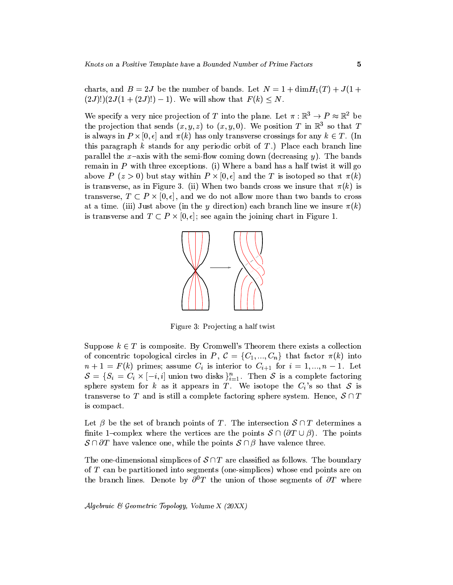charts, and  $B = 2J$  be the number of bands. Let  $N = 1 + \dim H_1(T) + J(1 +$  $(2J)!$  $(2J(1+(2J)!)-1)$ . We will show that  $F(k) < N$ .

We specify a very nice projection of T into the plane. Let  $\pi : \mathbb{R}^3 \to P \approx \mathbb{R}^2$  be the projection that sends  $(x, y, z)$  to  $(x, y, 0)$ . We position T in  $\mathbb{R}^3$  so that T is always in  $P \times [0, \epsilon]$  and  $\pi(k)$  has only transverse crossings for any  $k \in T$ . (In this paragraph  $k$  stands for any periodic orbit of  $T$ .) Place each branch line parallel the x-axis with the semi-flow coming down (decreasing  $y$ ). The bands remain in  $P$  with three exceptions. (i) Where a band has a half twist it will go above  $P(z>0)$  but stay within  $P\times [0,\epsilon]$  and the T is isotoped so that  $\pi(k)$ is transverse, as in Figure 3. (ii) When two bands cross we insure that  $\pi(k)$  is transverse,  $T \subset P \times [0, \epsilon]$ , and we do not allow more than two bands to cross at a time. (iii) Just above (in the y direction) each branch line we insure  $\pi(k)$ is transverse and  $T \subset P \times [0, \epsilon]$ ; see again the joining chart in Figure 1.



Figure 3: Projecting a half twist

Suppose  $k \in T$  is composite. By Cromwell's Theorem there exists a collection of concentric topological circles in P,  $\mathcal{C} = \{C_1, ..., C_n\}$  that factor  $\pi(k)$  into  $n+1 = F(k)$  primes; assume  $C_i$  is interior to  $C_{i+1}$  for  $i = 1, ..., n-1$ . Let  $S = \{S_i = C_i \times [-i, i] \text{ union two disks }\}_{i=1}^n$ . Then S is a complete factoring sphere system for k as it appears in T. We isotope the  $C_i$ 's so that S is transverse to T and is still a complete factoring sphere system. Hence,  $S \cap T$ is compact.

Let  $\beta$  be the set of branch points of T. The intersection  $S \cap T$  determines a finite 1-complex where the vertices are the points  $\mathcal{S} \cap (\partial T \cup \beta)$ . The points  $S \cap \partial T$  have valence one, while the points  $S \cap \beta$  have valence three.

The one-dimensional simplices of  $S \cap T$  are classified as follows. The boundary of T can be partitioned into segments (one-simplices) whose end points are on the branch lines. Denote by  $\partial^0 T$  the union of those segments of  $\partial T$  where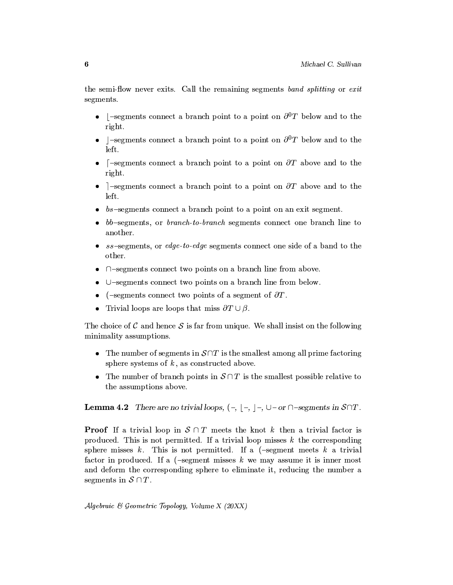the semi-flow never exits. Call the remaining segments band splitting or exit segments.

- $\Box$ -segments connect a branch point to a point on  $\partial^0 T$  below and to the right.
- $\vert$ -segments connect a branch point to a point on  $\partial^0 T$  below and to the left.
- [-segments connect a branch point to a point on  $\partial T$  above and to the right.
- ]-segments connect a branch point to a point on  $\partial T$  above and to the left.
- $bs$ -segments connect a branch point to a point on an exit segment.
- bb-segments, or branch-to-branch segments connect one branch line to another.
- $ss$ -segments, or edge-to-edge segments connect one side of a band to the other.
- $\cap$ -segments connect two points on a branch line from above.
- $\bullet$  U-segments connect two points on a branch line from below.
- (-segments connect two points of a segment of  $\partial T$ .
- Trivial loops are loops that miss  $\partial T \cup \beta$ .

The choice of C and hence S is far from unique. We shall insist on the following minimality assumptions.

- The number of segments in  $S \cap T$  is the smallest among all prime factoring sphere systems of  $k$ , as constructed above.
- The number of branch points in  $S \cap T$  is the smallest possible relative to the assumptions above.

**Lemma 4.2** There are no trivial loops,  $(-, |-, |-, \cup$  or  $\cap$ -segments in  $S \cap T$ .

**Proof** If a trivial loop in  $S \cap T$  meets the knot k then a trivial factor is produced. This is not permitted. If a trivial loop misses  $k$  the corresponding sphere misses k. This is not permitted. If a  $(-\text{segment meets } k$  a trivial factor in produced. If a  $(-\text{segment} \text{ misses } k \text{ we may assume it is inner most})$ and deform the corresponding sphere to eliminate it, reducing the number a segments in  $S \cap T$ .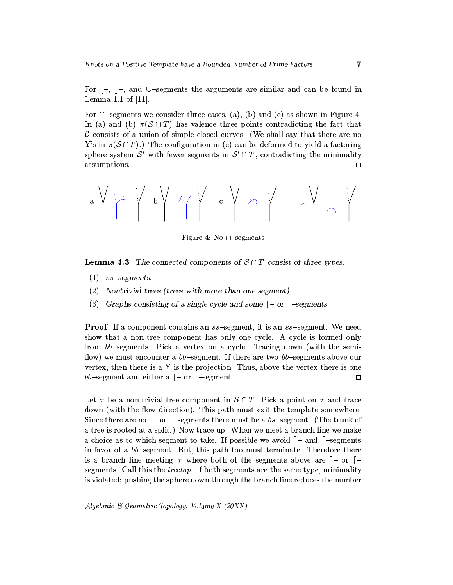For  $\vert -$ ,  $\vert -$ , and  $\cup$ -segments the arguments are similar and can be found in Lemma  $1.1$  of  $[11]$ .

For  $\cap$ -segments we consider three cases, (a), (b) and (c) as shown in Figure 4. In (a) and (b)  $\pi(S \cap T)$  has valence three points contradicting the fact that  $\mathcal C$  consists of a union of simple closed curves. (We shall say that there are no Y's in  $\pi(\mathcal{S} \cap T)$ .) The configuration in (c) can be deformed to yield a factoring sphere system S' with fewer segments in  $S' \cap T$ , contradicting the minimality assumptions.  $\Box$ 



Figure 4: No  $\cap$ -segments

**Lemma 4.3** The connected components of  $S \cap T$  consist of three types.

- $(1)$  ss-segments.
- $(2)$  Nontrivial trees (trees with more than one segment).
- (3) Graphs consisting of a single cycle and some  $\lceil -\text{or} \rceil$ -segments.

**Proof** If a component contains an ss-segment, it is an ss-segment. We need show that a non-tree component has only one cycle. A cycle is formed only from bb-segments. Pick a vertex on a cycle. Tracing down (with the semiflow) we must encounter a  $bb$ -segment. If there are two  $bb$ -segments above our vertex, then there is a Y is the projection. Thus, above the vertex there is one bb-segment and either a  $\lceil -\text{or} \rceil$ -segment.  $\Box$ 

Let  $\tau$  be a non-trivial tree component in  $\mathcal{S} \cap T$ . Pick a point on  $\tau$  and trace down (with the flow direction). This path must exit the template somewhere. Since there are no  $|-$  or  $|-$  segments there must be a bs-segment. (The trunk of a tree is rooted at a split.) Now trace up. When we meet a branch line we make a choice as to which segment to take. If possible we avoid  $]-$  and  $[-\text{segments}]$ in favor of a bb-segment. But, this path too must terminate. Therefore there is a branch line meeting  $\tau$  where both of the segments above are  $]-$  or  $[$ segments. Call this the *treetop*. If both segments are the same type, minimality is violated; pushing the sphere down through the branch line reduces the number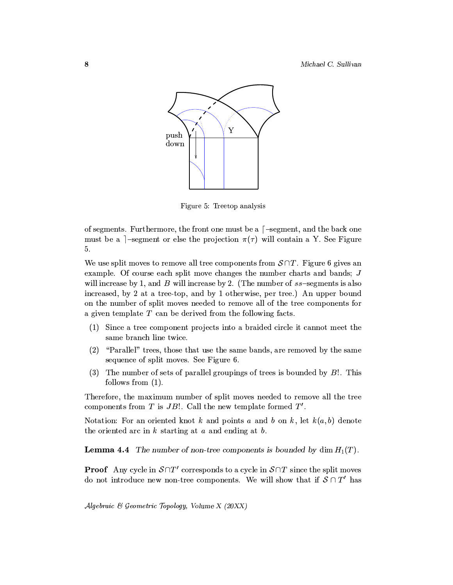

Figure 5: Treetop analysis

of segments. Furthermore, the front one must be a [-segment, and the back one must be a ]-segment or else the projection  $\pi(\tau)$  will contain a Y. See Figure 5.

We use split moves to remove all tree components from  $S \cap T$ . Figure 6 gives an example. Of course each split move changes the number charts and bands;  $J$ will increase by 1, and B will increase by 2. (The number of  $ss$ -segments is also increased, by 2 at a tree-top, and by 1 otherwise, per tree.) An upper bound on the number of split moves needed to remove all of the tree components for a given template  $T$  can be derived from the following facts.

- (1) Since a tree component projects into a braided circle it cannot meet the same branch line twice.
- (2) "Parallel" trees, those that use the same bands, are removed by the same sequence of split moves. See Figure 6.
- (3) The number of sets of parallel groupings of trees is bounded by  $B!$ . This follows from  $(1)$ .

Therefore, the maximum number of split moves needed to remove all the tree components from  $T$  is  $JB!$ . Call the new template formed  $T'$ .

Notation: For an oriented knot k and points a and b on k, let  $k(a, b)$  denote the oriented arc in  $k$  starting at  $a$  and ending at  $b$ .

**Lemma 4.4** The number of non-tree components is bounded by dim  $H_1(T)$ .

**Proof** Any cycle in  $S \cap T'$  corresponds to a cycle in  $S \cap T$  since the split moves do not introduce new non-tree components. We will show that if  $S \cap T'$  has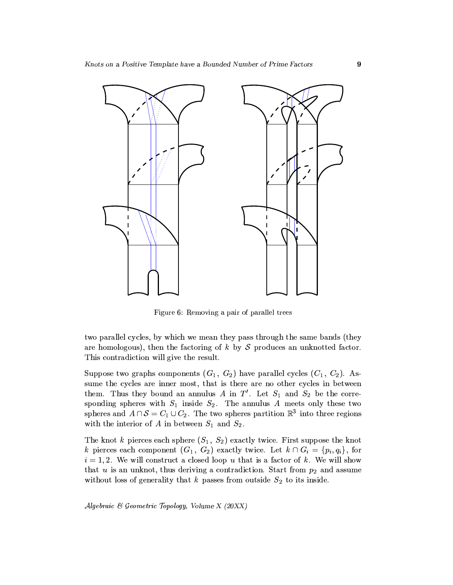

Figure 6: Removing a pair of parallel trees

two parallel cycles, by which we mean they pass through the same bands (they are homologous), then the factoring of  $k$  by  $S$  produces an unknotted factor. This contradiction will give the result.

Suppose two graphs components  $(G_1, G_2)$  have parallel cycles  $(C_1, C_2)$ . Assume the cycles are inner most, that is there are no other cycles in between them. Thus they bound an annulus A in  $T'$ . Let  $S_1$  and  $S_2$  be the corresponding spheres with  $S_1$  inside  $S_2$ . The annulus A meets only these two spheres and  $A \cap S = C_1 \cup C_2$ . The two spheres partition  $\mathbb{R}^3$  into three regions with the interior of A in between  $S_1$  and  $S_2$ .

The knot k pierces each sphere  $(S_1, S_2)$  exactly twice. First suppose the knot k pierces each component  $(G_1, G_2)$  exactly twice. Let  $k \cap G_i = \{p_i, q_i\}$ , for  $i = 1, 2$ . We will construct a closed loop u that is a factor of k. We will show that  $u$  is an unknot, thus deriving a contradiction. Start from  $p_2$  and assume without loss of generality that  $k$  passes from outside  $S_2$  to its inside.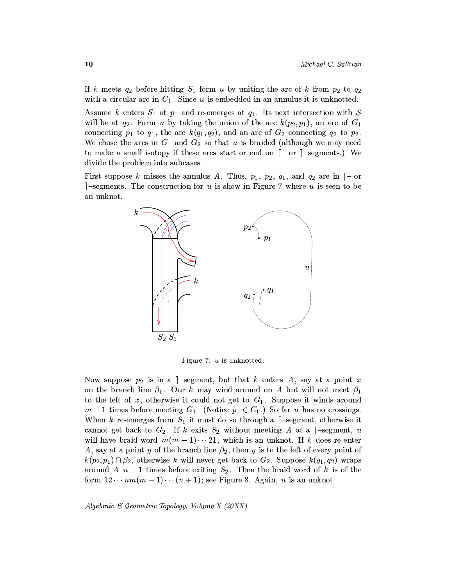If k meets  $q_2$  before hitting  $S_1$  form u by uniting the arc of k from  $p_2$  to  $q_2$ with a circular arc in  $C_1$ . Since u is embedded in an annulus it is unknotted.

Assume k enters  $S_1$  at  $p_1$  and re-emerges at  $q_1$ . Its next intersection with S will be at  $q_2$ . Form u by taking the union of the arc  $k(p_2, p_1)$ , an arc of  $G_1$ connecting  $p_1$  to  $q_1$ , the arc  $k(q_1, q_2)$ , and an arc of  $G_2$  connecting  $q_2$  to  $p_2$ . We chose the arcs in  $G_1$  and  $G_2$  so that u is braided (although we may need to make a small isotopy if these arcs start or end on  $\lceil -\text{or} \rceil$ -segments.) We divide the problem into subcases.

First suppose k misses the annulus A. Thus,  $p_1$ ,  $p_2$ ,  $q_1$ , and  $q_2$  are in  $\lceil -\text{or} \rceil$  $]-segments.$  The construction for u is show in Figure 7 where u is seen to be an unknot.



Figure 7:  $u$  is unknotted.

Now suppose  $p_2$  is in a -segment, but that k enters A, say at a point x on the branch line  $\beta_1$ . Our k may wind around on A but will not meet  $\beta_1$ to the left of x, otherwise it could not get to  $G_1$ . Suppose it winds around  $m-1$  times before meeting  $G_1$ . (Notice  $p_1 \in C_1$ .) So far u has no crossings. When k re-emerges from  $S_1$  it must do so through a [-segment, otherwise it cannot get back to  $G_2$ . If k exits  $S_2$  without meeting A at a [-segment, u will have braid word  $m(m-1)\cdots 21$ , which is an unknot. If k does re-enter A, say at a point y of the branch line  $\beta_2$ , then y is to the left of every point of  $k(p_2, p_1) \cap \beta_2$ , otherwise k will never get back to  $G_2$ . Suppose  $k(q_1, q_2)$  wraps around A  $n-1$  times before exiting  $S_2$ . Then the braid word of k is of the form  $12 \cdots nm(m-1) \cdots (n+1)$ ; see Figure 8. Again, u is an unknot.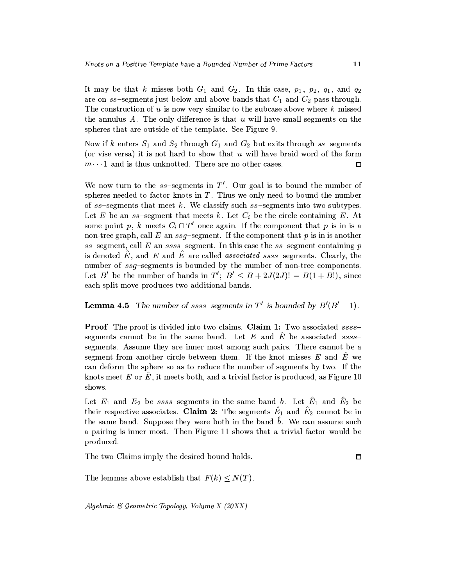It may be that k misses both  $G_1$  and  $G_2$ . In this case,  $p_1$ ,  $p_2$ ,  $q_1$ , and  $q_2$ are on ss-segments just below and above bands that  $C_1$  and  $C_2$  pass through. The construction of  $u$  is now very similar to the subcase above where  $k$  missed the annulus A. The only difference is that  $u$  will have small segments on the spheres that are outside of the template. See Figure 9.

Now if k enters  $S_1$  and  $S_2$  through  $G_1$  and  $G_2$  but exits through ss-segments (or vise versa) it is not hard to show that  $u$  will have braid word of the form  $m\cdots 1$  and is thus unknotted. There are no other cases.  $\Box$ 

We now turn to the  $ss$ -segments in T'. Our goal is to bound the number of spheres needed to factor knots in  $T$ . Thus we only need to bound the number of  $ss$ -segments that meet  $k$ . We classify such  $ss$ -segments into two subtypes. Let E be an  $ss$ -segment that meets k. Let  $C_i$  be the circle containing E. At some point p, k meets  $C_i \cap T'$  once again. If the component that p is in is a non-tree graph, call E an  $ssq$ -segment. If the component that p is in is another  $ss$ -segment, call E an  $ssss$ -segment. In this case the  $ss$ -segment containing p is denoted  $\hat{E}$ , and  $E$  and  $\hat{E}$  are called *associated ssss*-segments. Clearly, the number of ssq-segments is bounded by the number of non-tree components. Let B' be the number of bands in  $T'$ ;  $B' \leq B + 2J(2J)! = B(1 + B!)$ , since each split move produces two additional bands.

## **Lemma 4.5** The number of ssss-segments in T' is bounded by  $B'(B'-1)$ .

**Proof** The proof is divided into two claims. Claim 1: Two associated sssssegments cannot be in the same band. Let E and  $\hat{E}$  be associated sssssegments. Assume they are inner most among such pairs. There cannot be a segment from another circle between them. If the knot misses  $E$  and  $\hat{E}$  we can deform the sphere so as to reduce the number of segments by two. If the knots meet E or  $\hat{E}$ , it meets both, and a trivial factor is produced, as Figure 10 shows.

Let  $E_1$  and  $E_2$  be ssss-segments in the same band b. Let  $\hat{E}_1$  and  $\hat{E}_2$  be their respective associates. Claim 2: The segments  $\hat{E}_1$  and  $\hat{E}_2$  cannot be in the same band. Suppose they were both in the band  $\hat{b}$ . We can assume such a pairing is inner most. Then Figure 11 shows that a trivial factor would be produced.

The two Claims imply the desired bound holds.

 $\square$ 

The lemmas above establish that  $F(k) \leq N(T)$ .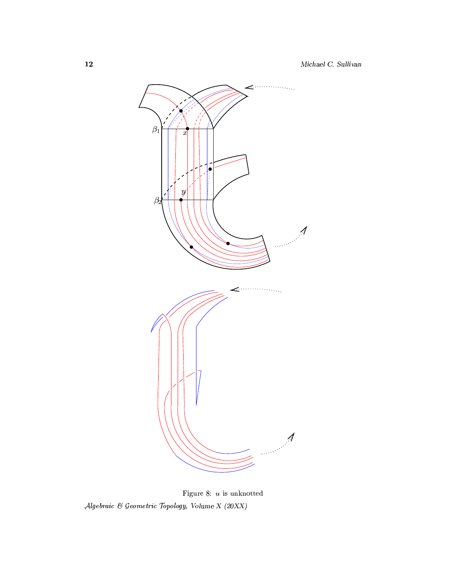

Figure 8:  $u$  is unknotted  $\label{thm:algebraic} \emph{Algebraic $\mathcal{C}$} Geometric\ \emph{Topology},\ \emph{Volume $X$}\ (20XX)$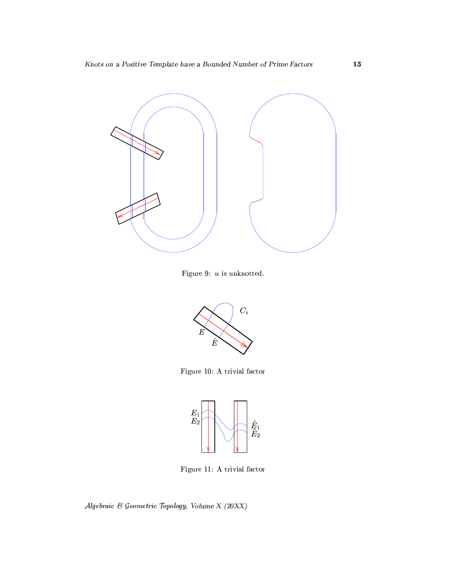

Figure 9:  $u$  is unknotted.



Figure 10: A trivial factor



Figure 11: A trivial factor